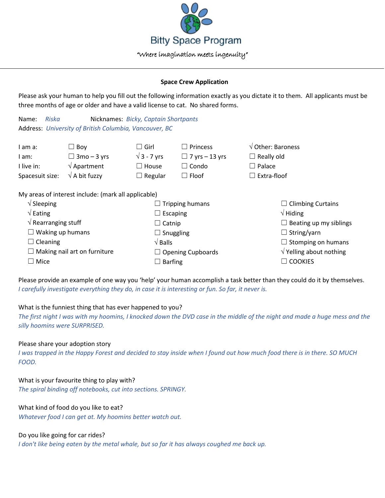

#### **Space Crew Application**

Please ask your human to help you fill out the following information exactly as you dictate it to them. All applicants must be three months of age or older and have a valid license to cat. No shared forms.

Name: *Riska* Nicknames: *Bicky, Captain Shortpants* Address: *University of British Columbia, Vancouver, BC*

| I am a:                       | Boy                                                 | $\square$ Girl         | $\Box$ Princess       | $\sqrt{$ Other: Baroness |
|-------------------------------|-----------------------------------------------------|------------------------|-----------------------|--------------------------|
| l am:                         | $\Box$ 3mo – 3 yrs                                  | $\sqrt{3}$ - 7 yrs     | $\Box$ 7 yrs – 13 yrs | $\Box$ Really old        |
| I live in:                    | $\sqrt{\mathsf{Apartment}}$                         | $\Box$ House           | $\Box$ Condo          | $\Box$ Palace            |
| Spacesuit size:               | $\sqrt{ }$ A bit fuzzy                              | $\Box$ Regular         | $\Box$ Floof          | Extra-floof              |
|                               | My areas of interest include: (mark all applicable) |                        |                       |                          |
| $\sqrt{\phantom{a}}$ Sleeping |                                                     | $\Box$ Tripping humans |                       | $\Box$ Climbing Curtains |
| $\sqrt{\mathsf{Eating}}$      |                                                     | Escaping               |                       | $\sqrt{}$ Hiding         |

| $\sqrt{\mathsf{Eating}}$            | $\Box$ Escaping          | $\sqrt{}$ Hiding                |
|-------------------------------------|--------------------------|---------------------------------|
| $\sqrt{ }$ Rearranging stuff        | $\Box$ Catnip            | $\Box$ Beating up my siblings   |
| $\Box$ Waking up humans             | $\Box$ Snuggling         | $\Box$ String/yarn              |
| $\Box$ Cleaning                     | $\sqrt{B}$ alls          | $\Box$ Stomping on humans       |
| $\Box$ Making nail art on furniture | $\Box$ Opening Cupboards | $\sqrt{}$ Yelling about nothing |
| $\Box$ Mice                         | $\Box$ Barfing           | $\Box$ Cookies                  |
|                                     |                          |                                 |

Please provide an example of one way you 'help' your human accomplish a task better than they could do it by themselves. *I carefully investigate everything they do, in case it is interesting or fun. So far, it never is.*

# What is the funniest thing that has ever happened to you?

*The first night I was with my hoomins, I knocked down the DVD case in the middle of the night and made a huge mess and the silly hoomins were SURPRISED.*

# Please share your adoption story

*I was trapped in the Happy Forest and decided to stay inside when I found out how much food there is in there. SO MUCH FOOD.*

#### What is your favourite thing to play with?

*The spiral binding off notebooks, cut into sections. SPRINGY.*

# What kind of food do you like to eat?

*Whatever food I can get at. My hoomins better watch out.*

# Do you like going for car rides?

*I don't like being eaten by the metal whale, but so far it has always coughed me back up.*